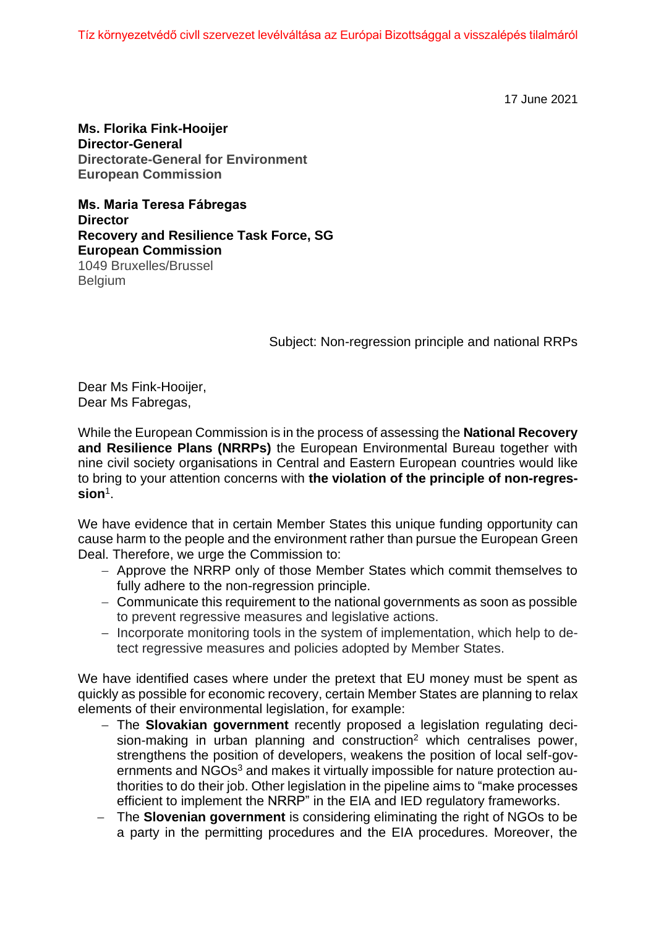Tíz környezetvédő civll szervezet levélváltása az Európai Bizottsággal a visszalépés tilalmáról

17 June 2021

**Ms. Florika Fink-Hooijer Director-General Directorate-General for Environment European Commission**

**Ms. Maria Teresa Fábregas Director Recovery and Resilience Task Force, SG European Commission** 1049 Bruxelles/Brussel **Belgium** 

Subject: Non-regression principle and national RRPs

Dear Ms Fink-Hooijer, Dear Ms Fabregas,

While the European Commission is in the process of assessing the **National Recovery and Resilience Plans (NRRPs)** the European Environmental Bureau together with nine civil society organisations in Central and Eastern European countries would like to bring to your attention concerns with **the violation of the principle of non-regression**<sup>1</sup> .

We have evidence that in certain Member States this unique funding opportunity can cause harm to the people and the environment rather than pursue the European Green Deal. Therefore, we urge the Commission to:

- − Approve the NRRP only of those Member States which commit themselves to fully adhere to the non-regression principle.
- − Communicate this requirement to the national governments as soon as possible to prevent regressive measures and legislative actions.
- − Incorporate monitoring tools in the system of implementation, which help to detect regressive measures and policies adopted by Member States.

We have identified cases where under the pretext that EU money must be spent as quickly as possible for economic recovery, certain Member States are planning to relax elements of their environmental legislation, for example:

- − The **Slovakian government** recently proposed a legislation regulating decision-making in urban planning and construction<sup>2</sup> which centralises power, strengthens the position of developers, weakens the position of local self-governments and NGOs<sup>3</sup> and makes it virtually impossible for nature protection authorities to do their job. Other legislation in the pipeline aims to "make processes efficient to implement the NRRP" in the EIA and IED regulatory frameworks.
- − The **Slovenian government** is considering eliminating the right of NGOs to be a party in the permitting procedures and the EIA procedures. Moreover, the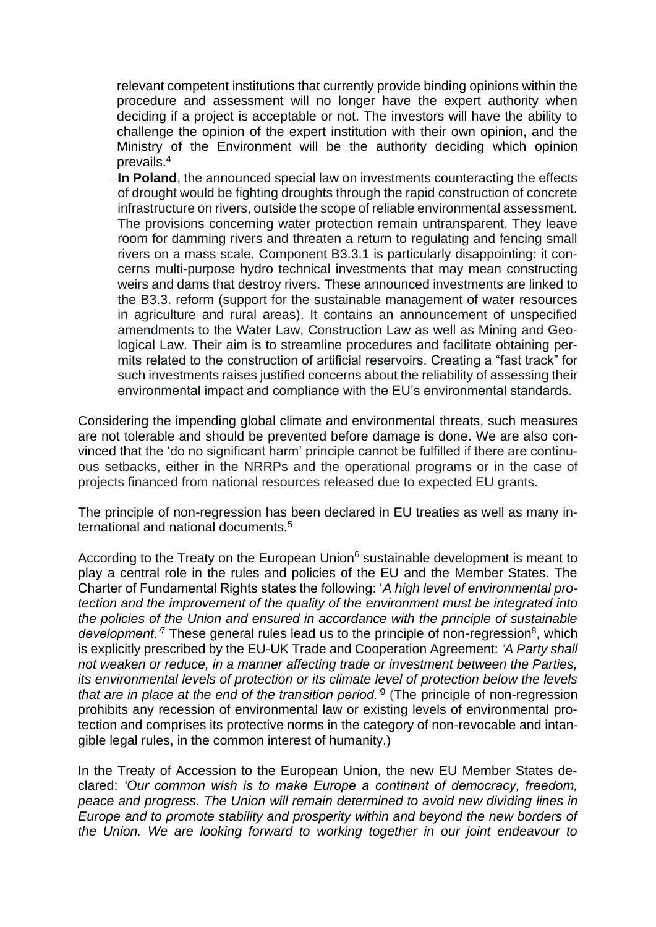relevant competent institutions that currently provide binding opinions within the procedure and assessment will no longer have the expert authority when deciding if a project is acceptable or not. The investors will have the ability to challenge the opinion of the expert institution with their own opinion, and the Ministry of the Environment will be the authority deciding which opinion prevails.<sup>4</sup>

−**In Poland**, the announced special law on investments counteracting the effects of drought would be fighting droughts through the rapid construction of concrete infrastructure on rivers, outside the scope of reliable environmental assessment. The provisions concerning water protection remain untransparent. They leave room for damming rivers and threaten a return to regulating and fencing small rivers on a mass scale. Component B3.3.1 is particularly disappointing: it concerns multi-purpose hydro technical investments that may mean constructing weirs and dams that destroy rivers. These announced investments are linked to the B3.3. reform (support for the sustainable management of water resources in agriculture and rural areas). It contains an announcement of unspecified amendments to the Water Law, Construction Law as well as Mining and Geological Law. Their aim is to streamline procedures and facilitate obtaining permits related to the construction of artificial reservoirs. Creating a "fast track" for such investments raises justified concerns about the reliability of assessing their environmental impact and compliance with the EU's environmental standards.

Considering the impending global climate and environmental threats, such measures are not tolerable and should be prevented before damage is done. We are also convinced that the 'do no significant harm' principle cannot be fulfilled if there are continuous setbacks, either in the NRRPs and the operational programs or in the case of projects financed from national resources released due to expected EU grants.

The principle of non-regression has been declared in EU treaties as well as many international and national documents.<sup>5</sup>

According to the Treaty on the European Union $6$  sustainable development is meant to play a central role in the rules and policies of the EU and the Member States. The Charter of Fundamental Rights states the following: '*A high level of environmental protection and the improvement of the quality of the environment must be integrated into the policies of the Union and ensured in accordance with the principle of sustainable*  development.<sup>7</sup> These general rules lead us to the principle of non-regression<sup>8</sup>, which is explicitly prescribed by the EU-UK Trade and Cooperation Agreement: *'A Party shall not weaken or reduce, in a manner affecting trade or investment between the Parties, its environmental levels of protection or its climate level of protection below the levels that are in place at the end of the transition period.'*<sup>9</sup> (The principle of non-regression prohibits any recession of environmental law or existing levels of environmental protection and comprises its protective norms in the category of non-revocable and intangible legal rules, in the common interest of humanity.)

In the Treaty of Accession to the European Union, the new EU Member States declared: *'Our common wish is to make Europe a continent of democracy, freedom, peace and progress. The Union will remain determined to avoid new dividing lines in Europe and to promote stability and prosperity within and beyond the new borders of the Union. We are looking forward to working together in our joint endeavour to*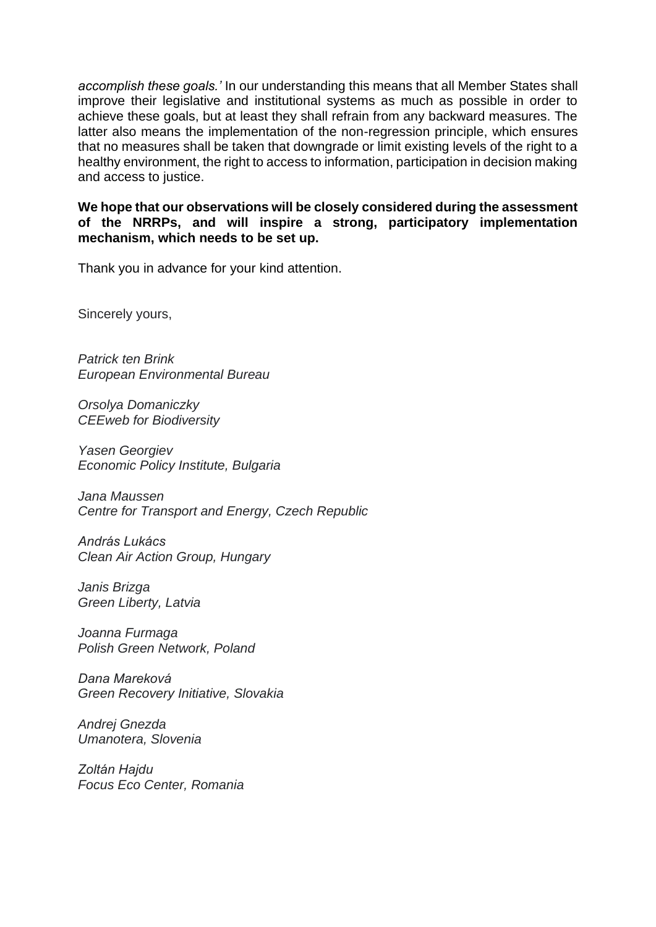*accomplish these goals.'* In our understanding this means that all Member States shall improve their legislative and institutional systems as much as possible in order to achieve these goals, but at least they shall refrain from any backward measures. The latter also means the implementation of the non-regression principle, which ensures that no measures shall be taken that downgrade or limit existing levels of the right to a healthy environment, the right to access to information, participation in decision making and access to justice.

**We hope that our observations will be closely considered during the assessment of the NRRPs, and will inspire a strong, participatory implementation mechanism, which needs to be set up.** 

Thank you in advance for your kind attention.

Sincerely yours,

*Patrick ten Brink European Environmental Bureau*

*Orsolya Domaniczky CEEweb for Biodiversity*

*Yasen Georgiev Economic Policy Institute, Bulgaria*

*Jana Maussen Centre for Transport and Energy, Czech Republic* 

*András Lukács Clean Air Action Group, Hungary*

*Janis Brizga Green Liberty, Latvia*

*Joanna Furmaga Polish Green Network, Poland*

*Dana Mareková Green Recovery Initiative, Slovakia*

*Andrej Gnezda Umanotera, Slovenia*

*Zoltán Hajdu Focus Eco Center, Romania*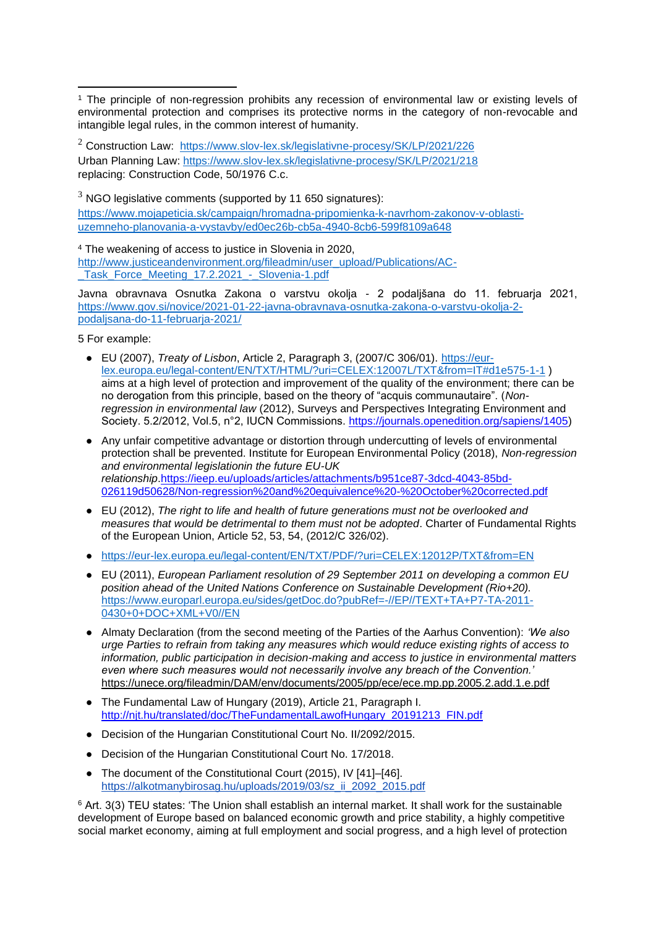<sup>2</sup> Construction Law: https://www.slov-lex.sk/legislativne-procesy/SK/LP/2021/226 Urban Planning Law: https://www.slov-lex.sk/legislativne-procesy/SK/LP/2021/218 replacing: Construction Code, 50/1976 C.c.

 $3$  NGO legislative comments (supported by 11 650 signatures): https://www.mojapeticia.sk/campaign/hromadna-pripomienka-k-navrhom-zakonov-v-oblastiuzemneho-planovania-a-vystavby/ed0ec26b-cb5a-4940-8cb6-599f8109a648

<sup>4</sup> The weakening of access to justice in Slovenia in 2020, http://www.justiceandenvironment.org/fileadmin/user\_upload/Publications/AC- \_Task\_Force\_Meeting\_17.2.2021\_-\_Slovenia-1.pdf

Javna obravnava Osnutka Zakona o varstvu okolja - 2 podaljšana do 11. februarja 2021, https://www.gov.si/novice/2021-01-22-javna-obravnava-osnutka-zakona-o-varstvu-okolja-2 podaljsana-do-11-februarja-2021/

5 For example:

- EU (2007), *Treaty of Lisbon*, Article 2, Paragraph 3, (2007/C 306/01). https://eurlex.europa.eu/legal-content/EN/TXT/HTML/?uri=CELEX:12007L/TXT&from=IT#d1e575-1-1 ) aims at a high level of protection and improvement of the quality of the environment; there can be no derogation from this principle, based on the theory of "acquis communautaire". (*Nonregression in environmental law* (2012), Surveys and Perspectives Integrating Environment and Society. 5.2/2012, Vol.5, n°2, IUCN Commissions. https://journals.openedition.org/sapiens/1405)
- Any unfair competitive advantage or distortion through undercutting of levels of environmental protection shall be prevented. Institute for European Environmental Policy (2018), *Non-regression and environmental legislationin the future EU-UK relationship*.https://ieep.eu/uploads/articles/attachments/b951ce87-3dcd-4043-85bd-026119d50628/Non-regression%20and%20equivalence%20-%20October%20corrected.pdf
- EU (2012), *The right to life and health of future generations must not be overlooked and measures that would be detrimental to them must not be adopted*. Charter of Fundamental Rights of the European Union, Article 52, 53, 54, (2012/C 326/02).
- https://eur-lex.europa.eu/legal-content/EN/TXT/PDF/?uri=CELEX:12012P/TXT&from=EN
- EU (2011), *European Parliament resolution of 29 September 2011 on developing a common EU position ahead of the United Nations Conference on Sustainable Development (Rio+20).* https://www.europarl.europa.eu/sides/getDoc.do?pubRef=-//EP//TEXT+TA+P7-TA-2011- 0430+0+DOC+XML+V0//EN
- Almaty Declaration (from the second meeting of the Parties of the Aarhus Convention): *'We also urge Parties to refrain from taking any measures which would reduce existing rights of access to information, public participation in decision-making and access to justice in environmental matters even where such measures would not necessarily involve any breach of the Convention.'* https://unece.org/fileadmin/DAM/env/documents/2005/pp/ece/ece.mp.pp.2005.2.add.1.e.pdf
- The Fundamental Law of Hungary (2019), Article 21, Paragraph I. http://njt.hu/translated/doc/TheFundamentalLawofHungary\_20191213\_FIN.pdf
- Decision of the Hungarian Constitutional Court No. II/2092/2015.
- Decision of the Hungarian Constitutional Court No. 17/2018.
- The document of the Constitutional Court (2015), IV [41]–[46]. https://alkotmanybirosag.hu/uploads/2019/03/sz\_ii\_2092\_2015.pdf

<sup>6</sup> Art. 3(3) TEU states: 'The Union shall establish an internal market. It shall work for the sustainable development of Europe based on balanced economic growth and price stability, a highly competitive social market economy, aiming at full employment and social progress, and a high level of protection

<sup>1</sup> The principle of non-regression prohibits any recession of environmental law or existing levels of environmental protection and comprises its protective norms in the category of non-revocable and intangible legal rules, in the common interest of humanity.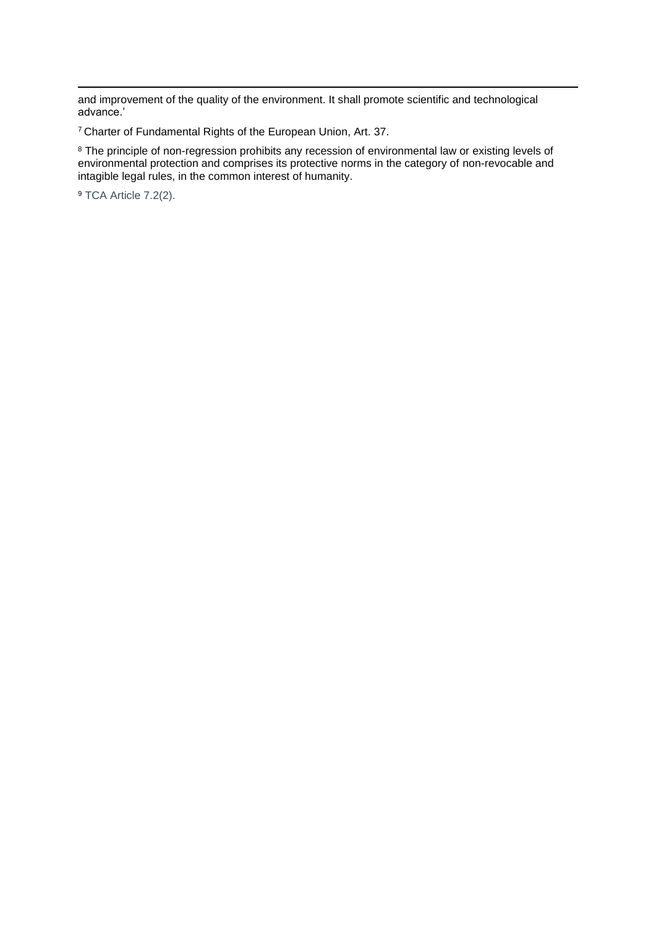and improvement of the quality of the environment. It shall promote scientific and technological advance.'

<sup>7</sup> Charter of Fundamental Rights of the European Union, Art. 37.

<sup>8</sup> The principle of non-regression prohibits any recession of environmental law or existing levels of environmental protection and comprises its protective norms in the category of non-revocable and intagible legal rules, in the common interest of humanity.

<sup>9</sup> TCA Article 7.2(2).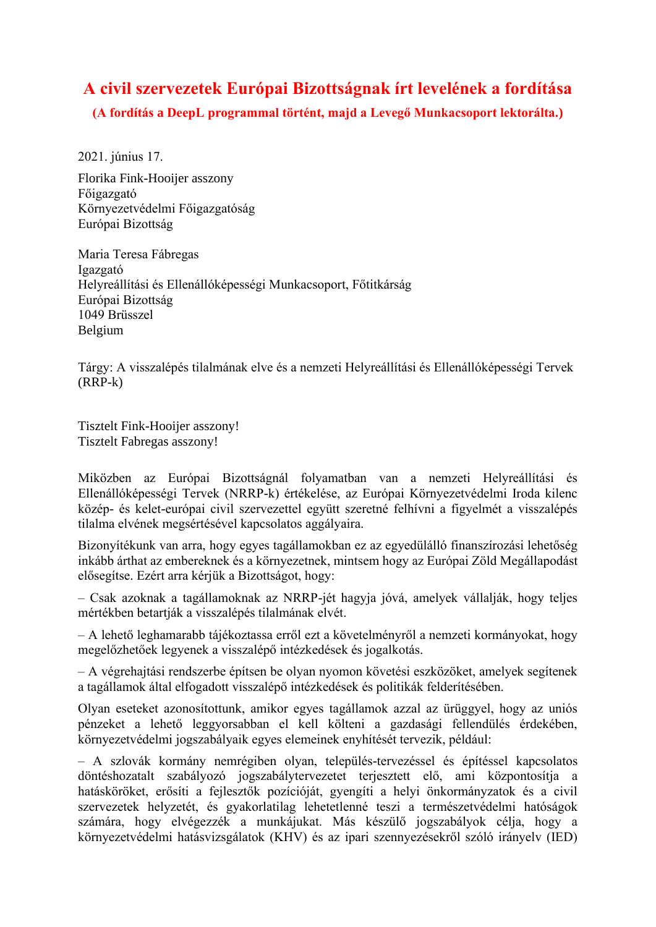# **A civil szervezetek Európai Bizottságnak írt levelének a fordítása**

**(A fordítás a DeepL programmal történt, majd a Levegő Munkacsoport lektorálta.)**

2021. június 17.

Florika Fink-Hooijer asszony Főigazgató Környezetvédelmi Főigazgatóság Európai Bizottság

Maria Teresa Fábregas Igazgató Helyreállítási és Ellenállóképességi Munkacsoport, Főtitkárság Európai Bizottság 1049 Brüsszel Belgium

Tárgy: A visszalépés tilalmának elve és a nemzeti Helyreállítási és Ellenállóképességi Tervek (RRP-k)

Tisztelt Fink-Hooijer asszony! Tisztelt Fabregas asszony!

Miközben az Európai Bizottságnál folyamatban van a nemzeti Helyreállítási és Ellenállóképességi Tervek (NRRP-k) értékelése, az Európai Környezetvédelmi Iroda kilenc közép- és kelet-európai civil szervezettel együtt szeretné felhívni a figyelmét a visszalépés tilalma elvének megsértésével kapcsolatos aggályaira.

Bizonyítékunk van arra, hogy egyes tagállamokban ez az egyedülálló finanszírozási lehetőség inkább árthat az embereknek és a környezetnek, mintsem hogy az Európai Zöld Megállapodást elősegítse. Ezért arra kérjük a Bizottságot, hogy:

– Csak azoknak a tagállamoknak az NRRP-jét hagyja jóvá, amelyek vállalják, hogy teljes mértékben betartják a visszalépés tilalmának elvét.

– A lehető leghamarabb tájékoztassa erről ezt a követelményről a nemzeti kormányokat, hogy megelőzhetőek legyenek a visszalépő intézkedések és jogalkotás.

– A végrehajtási rendszerbe építsen be olyan nyomon követési eszközöket, amelyek segítenek a tagállamok által elfogadott visszalépő intézkedések és politikák felderítésében.

Olyan eseteket azonosítottunk, amikor egyes tagállamok azzal az ürüggyel, hogy az uniós pénzeket a lehető leggyorsabban el kell költeni a gazdasági fellendülés érdekében, környezetvédelmi jogszabályaik egyes elemeinek enyhítését tervezik, például:

– A szlovák kormány nemrégiben olyan, település-tervezéssel és építéssel kapcsolatos döntéshozatalt szabályozó jogszabálytervezetet terjesztett elő, ami központosítja a hatásköröket, erősíti a fejlesztők pozícióját, gyengíti a helyi önkormányzatok és a civil szervezetek helyzetét, és gyakorlatilag lehetetlenné teszi a természetvédelmi hatóságok számára, hogy elvégezzék a munkájukat. Más készülő jogszabályok célja, hogy a környezetvédelmi hatásvizsgálatok (KHV) és az ipari szennyezésekről szóló irányelv (IED)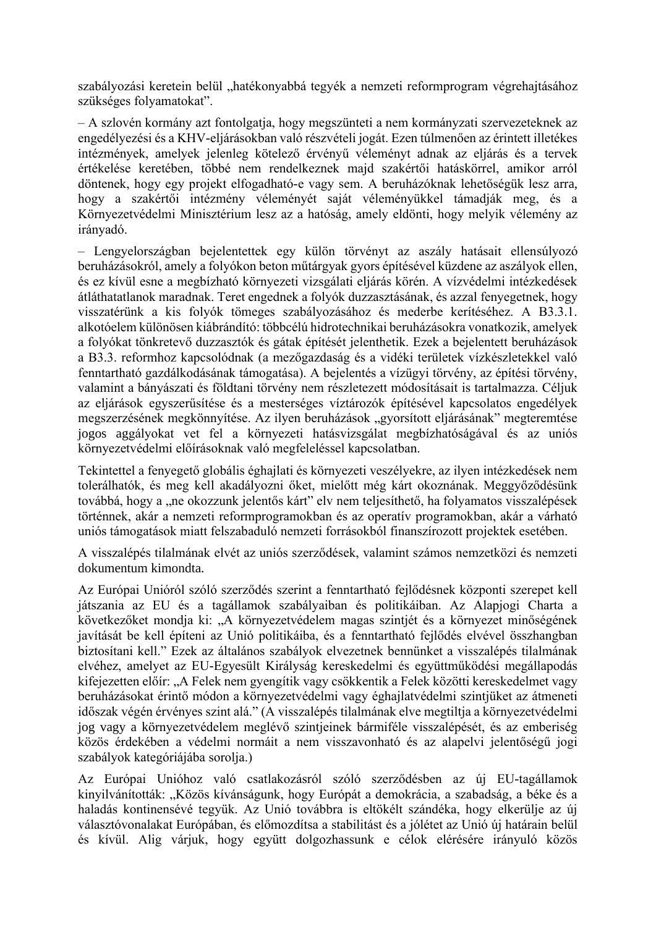szabályozási keretein belül "hatékonyabbá tegyék a nemzeti reformprogram végrehajtásához szükséges folyamatokat".

– A szlovén kormány azt fontolgatja, hogy megszünteti a nem kormányzati szervezeteknek az engedélyezési és a KHV-eljárásokban való részvételi jogát. Ezen túlmenően az érintett illetékes intézmények, amelyek jelenleg kötelező érvényű véleményt adnak az eljárás és a tervek értékelése keretében, többé nem rendelkeznek majd szakértői hatáskörrel, amikor arról döntenek, hogy egy projekt elfogadható-e vagy sem. A beruházóknak lehetőségük lesz arra, hogy a szakértői intézmény véleményét saját véleményükkel támadják meg, és a Környezetvédelmi Minisztérium lesz az a hatóság, amely eldönti, hogy melyik vélemény az irányadó.

– Lengyelországban bejelentettek egy külön törvényt az aszály hatásait ellensúlyozó beruházásokról, amely a folyókon beton műtárgyak gyors építésével küzdene az aszályok ellen, és ez kívül esne a megbízható környezeti vizsgálati eljárás körén. A vízvédelmi intézkedések átláthatatlanok maradnak. Teret engednek a folyók duzzasztásának, és azzal fenyegetnek, hogy visszatérünk a kis folyók tömeges szabályozásához és mederbe kerítéséhez. A B3.3.1. alkotóelem különösen kiábrándító: többcélú hidrotechnikai beruházásokra vonatkozik, amelyek a folyókat tönkretevő duzzasztók és gátak építését jelenthetik. Ezek a bejelentett beruházások a B3.3. reformhoz kapcsolódnak (a mezőgazdaság és a vidéki területek vízkészletekkel való fenntartható gazdálkodásának támogatása). A bejelentés a vízügyi törvény, az építési törvény, valamint a bányászati és földtani törvény nem részletezett módosításait is tartalmazza. Céljuk az eljárások egyszerűsítése és a mesterséges víztározók építésével kapcsolatos engedélyek megszerzésének megkönnyítése. Az ilyen beruházások "gyorsított eljárásának" megteremtése jogos aggályokat vet fel a környezeti hatásvizsgálat megbízhatóságával és az uniós környezetvédelmi előírásoknak való megfeleléssel kapcsolatban.

Tekintettel a fenyegető globális éghajlati és környezeti veszélyekre, az ilyen intézkedések nem tolerálhatók, és meg kell akadályozni őket, mielőtt még kárt okoznának. Meggyőződésünk továbbá, hogy a "ne okozzunk jelentős kárt" elv nem teljesíthető, ha folyamatos visszalépések történnek, akár a nemzeti reformprogramokban és az operatív programokban, akár a várható uniós támogatások miatt felszabaduló nemzeti forrásokból finanszírozott projektek esetében.

A visszalépés tilalmának elvét az uniós szerződések, valamint számos nemzetközi és nemzeti dokumentum kimondta.

Az Európai Unióról szóló szerződés szerint a fenntartható fejlődésnek központi szerepet kell játszania az EU és a tagállamok szabályaiban és politikáiban. Az Alapjogi Charta a következőket mondja ki: "A környezetvédelem magas szintjét és a környezet minőségének javítását be kell építeni az Unió politikáiba, és a fenntartható fejlődés elvével összhangban biztosítani kell." Ezek az általános szabályok elvezetnek bennünket a visszalépés tilalmának elvéhez, amelyet az EU-Egyesült Királyság kereskedelmi és együttműködési megállapodás kifejezetten előír: "A Felek nem gyengítik vagy csökkentik a Felek közötti kereskedelmet vagy beruházásokat érintő módon a környezetvédelmi vagy éghajlatvédelmi szintjüket az átmeneti időszak végén érvényes szint alá." (A visszalépés tilalmának elve megtiltja a környezetvédelmi jog vagy a környezetvédelem meglévő szintjeinek bármiféle visszalépését, és az emberiség közös érdekében a védelmi normáit a nem visszavonható és az alapelvi jelentőségű jogi szabályok kategóriájába sorolja.)

Az Európai Unióhoz való csatlakozásról szóló szerződésben az új EU-tagállamok kinyilvánították: "Közös kívánságunk, hogy Európát a demokrácia, a szabadság, a béke és a haladás kontinensévé tegyük. Az Unió továbbra is eltökélt szándéka, hogy elkerülje az új választóvonalakat Európában, és előmozdítsa a stabilitást és a jólétet az Unió új határain belül és kívül. Alig várjuk, hogy együtt dolgozhassunk e célok elérésére irányuló közös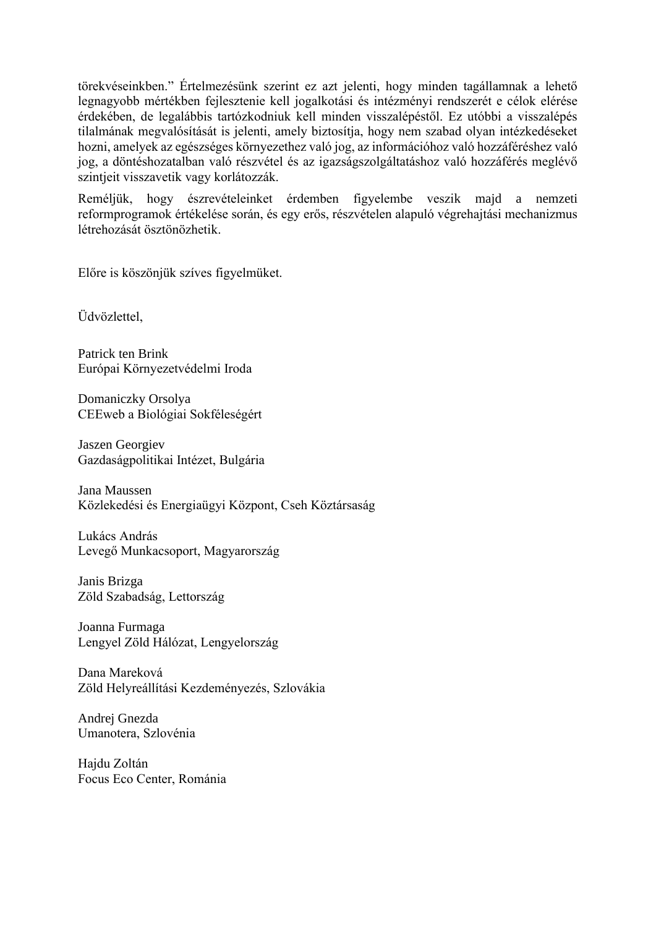törekvéseinkben." Értelmezésünk szerint ez azt jelenti, hogy minden tagállamnak a lehető legnagyobb mértékben fejlesztenie kell jogalkotási és intézményi rendszerét e célok elérése érdekében, de legalábbis tartózkodniuk kell minden visszalépéstől. Ez utóbbi a visszalépés tilalmának megvalósítását is jelenti, amely biztosítja, hogy nem szabad olyan intézkedéseket hozni, amelyek az egészséges környezethez való jog, az információhoz való hozzáféréshez való jog, a döntéshozatalban való részvétel és az igazságszolgáltatáshoz való hozzáférés meglévő szintjeit visszavetik vagy korlátozzák.

Reméljük, hogy észrevételeinket érdemben figyelembe veszik majd a nemzeti reformprogramok értékelése során, és egy erős, részvételen alapuló végrehajtási mechanizmus létrehozását ösztönözhetik.

Előre is köszönjük szíves figyelmüket.

Üdvözlettel,

Patrick ten Brink Európai Környezetvédelmi Iroda

Domaniczky Orsolya CEEweb a Biológiai Sokféleségért

Jaszen Georgiev Gazdaságpolitikai Intézet, Bulgária

Jana Maussen Közlekedési és Energiaügyi Központ, Cseh Köztársaság

Lukács András Levegő Munkacsoport, Magyarország

Janis Brizga Zöld Szabadság, Lettország

Joanna Furmaga Lengyel Zöld Hálózat, Lengyelország

Dana Mareková Zöld Helyreállítási Kezdeményezés, Szlovákia

Andrej Gnezda Umanotera, Szlovénia

Hajdu Zoltán Focus Eco Center, Románia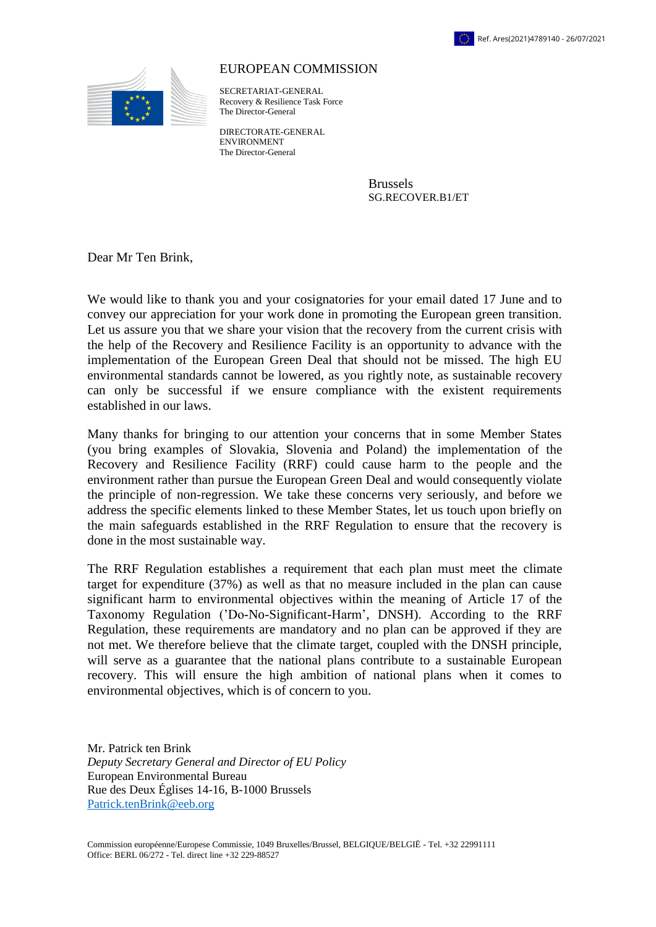



## EUROPEAN COMMISSION

SECRETARIAT-GENERAL Recovery & Resilience Task Force The Director-General

DIRECTORATE-GENERAL ENVIRONMENT The Director-General

> Brussels SG.RECOVER.B1/ET

Dear Mr Ten Brink,

We would like to thank you and your cosignatories for your email dated 17 June and to convey our appreciation for your work done in promoting the European green transition. Let us assure you that we share your vision that the recovery from the current crisis with the help of the Recovery and Resilience Facility is an opportunity to advance with the implementation of the European Green Deal that should not be missed. The high EU environmental standards cannot be lowered, as you rightly note, as sustainable recovery can only be successful if we ensure compliance with the existent requirements established in our laws.

Many thanks for bringing to our attention your concerns that in some Member States (you bring examples of Slovakia, Slovenia and Poland) the implementation of the Recovery and Resilience Facility (RRF) could cause harm to the people and the environment rather than pursue the European Green Deal and would consequently violate the principle of non-regression. We take these concerns very seriously, and before we address the specific elements linked to these Member States, let us touch upon briefly on the main safeguards established in the RRF Regulation to ensure that the recovery is done in the most sustainable way.

The RRF Regulation establishes a requirement that each plan must meet the climate target for expenditure (37%) as well as that no measure included in the plan can cause significant harm to environmental objectives within the meaning of Article 17 of the Taxonomy Regulation ('Do-No-Significant-Harm', DNSH). According to the RRF Regulation, these requirements are mandatory and no plan can be approved if they are not met. We therefore believe that the climate target, coupled with the DNSH principle, will serve as a guarantee that the national plans contribute to a sustainable European recovery. This will ensure the high ambition of national plans when it comes to environmental objectives, which is of concern to you.

Mr. Patrick ten Brink *Deputy Secretary General and Director of EU Policy* European Environmental Bureau Rue des Deux Églises 14-16, B-1000 Brussels [Patrick.tenBrink@eeb.org](mailto:Patrick.tenBrink@eeb.org)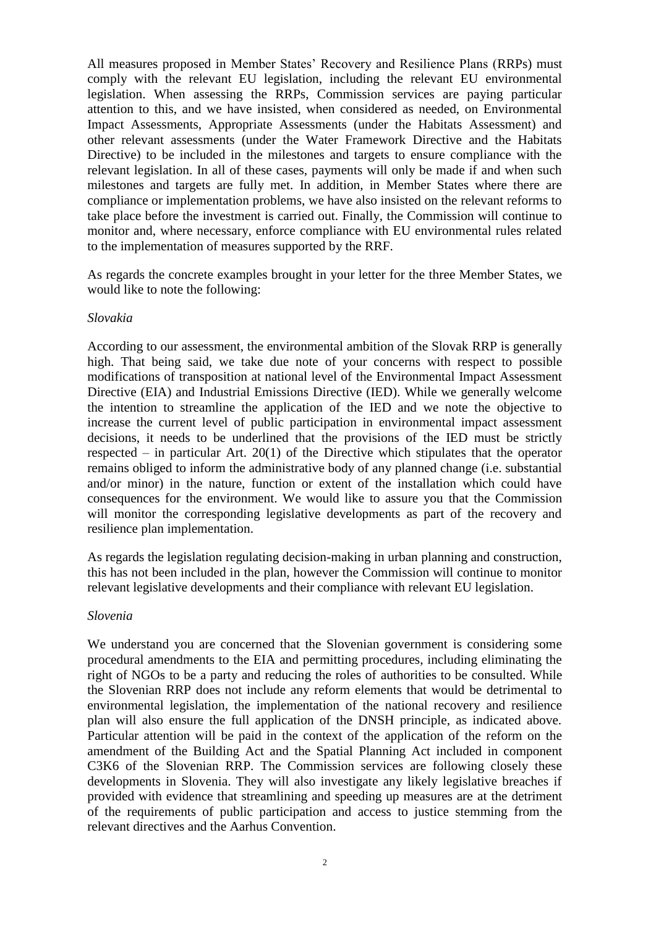All measures proposed in Member States' Recovery and Resilience Plans (RRPs) must comply with the relevant EU legislation, including the relevant EU environmental legislation. When assessing the RRPs, Commission services are paying particular attention to this, and we have insisted, when considered as needed, on Environmental Impact Assessments, Appropriate Assessments (under the Habitats Assessment) and other relevant assessments (under the Water Framework Directive and the Habitats Directive) to be included in the milestones and targets to ensure compliance with the relevant legislation. In all of these cases, payments will only be made if and when such milestones and targets are fully met. In addition, in Member States where there are compliance or implementation problems, we have also insisted on the relevant reforms to take place before the investment is carried out. Finally, the Commission will continue to monitor and, where necessary, enforce compliance with EU environmental rules related to the implementation of measures supported by the RRF.

As regards the concrete examples brought in your letter for the three Member States, we would like to note the following:

### *Slovakia*

According to our assessment, the environmental ambition of the Slovak RRP is generally high. That being said, we take due note of your concerns with respect to possible modifications of transposition at national level of the Environmental Impact Assessment Directive (EIA) and Industrial Emissions Directive (IED). While we generally welcome the intention to streamline the application of the IED and we note the objective to increase the current level of public participation in environmental impact assessment decisions, it needs to be underlined that the provisions of the IED must be strictly respected – in particular Art. 20(1) of the Directive which stipulates that the operator remains obliged to inform the administrative body of any planned change (i.e. substantial and/or minor) in the nature, function or extent of the installation which could have consequences for the environment. We would like to assure you that the Commission will monitor the corresponding legislative developments as part of the recovery and resilience plan implementation.

As regards the legislation regulating decision-making in urban planning and construction, this has not been included in the plan, however the Commission will continue to monitor relevant legislative developments and their compliance with relevant EU legislation.

### *Slovenia*

We understand you are concerned that the Slovenian government is considering some procedural amendments to the EIA and permitting procedures, including eliminating the right of NGOs to be a party and reducing the roles of authorities to be consulted. While the Slovenian RRP does not include any reform elements that would be detrimental to environmental legislation, the implementation of the national recovery and resilience plan will also ensure the full application of the DNSH principle, as indicated above. Particular attention will be paid in the context of the application of the reform on the amendment of the Building Act and the Spatial Planning Act included in component C3K6 of the Slovenian RRP. The Commission services are following closely these developments in Slovenia. They will also investigate any likely legislative breaches if provided with evidence that streamlining and speeding up measures are at the detriment of the requirements of public participation and access to justice stemming from the relevant directives and the Aarhus Convention.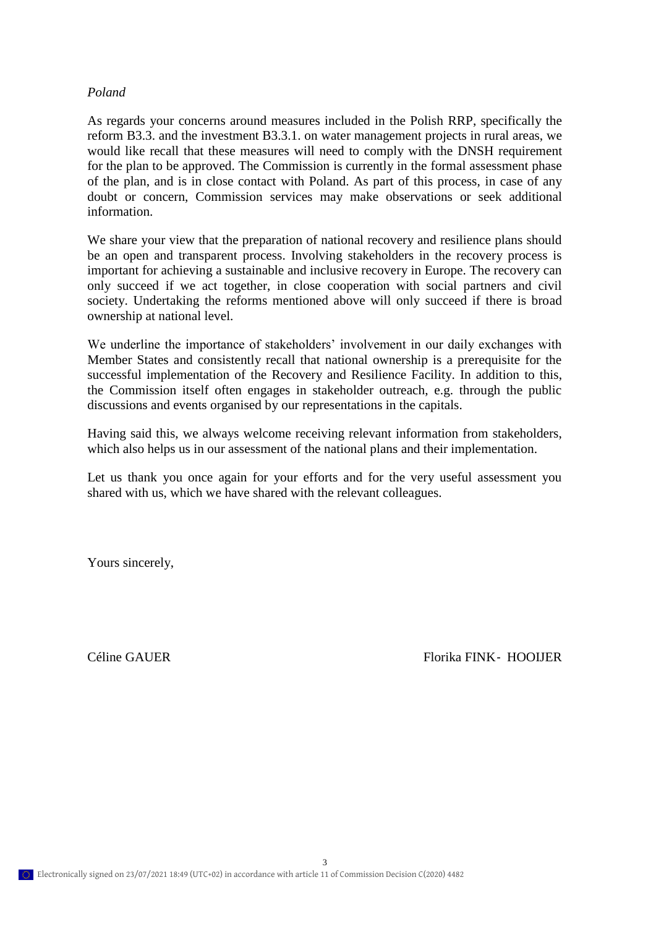### *Poland*

As regards your concerns around measures included in the Polish RRP, specifically the reform B3.3. and the investment B3.3.1. on water management projects in rural areas, we would like recall that these measures will need to comply with the DNSH requirement for the plan to be approved. The Commission is currently in the formal assessment phase of the plan, and is in close contact with Poland. As part of this process, in case of any doubt or concern, Commission services may make observations or seek additional information.

We share your view that the preparation of national recovery and resilience plans should be an open and transparent process. Involving stakeholders in the recovery process is important for achieving a sustainable and inclusive recovery in Europe. The recovery can only succeed if we act together, in close cooperation with social partners and civil society. Undertaking the reforms mentioned above will only succeed if there is broad ownership at national level.

We underline the importance of stakeholders' involvement in our daily exchanges with Member States and consistently recall that national ownership is a prerequisite for the successful implementation of the Recovery and Resilience Facility. In addition to this, the Commission itself often engages in stakeholder outreach, e.g. through the public discussions and events organised by our representations in the capitals.

Having said this, we always welcome receiving relevant information from stakeholders, which also helps us in our assessment of the national plans and their implementation.

Let us thank you once again for your efforts and for the very useful assessment you shared with us, which we have shared with the relevant colleagues.

Yours sincerely,

Céline GAUER Florika FINK - HOOIJER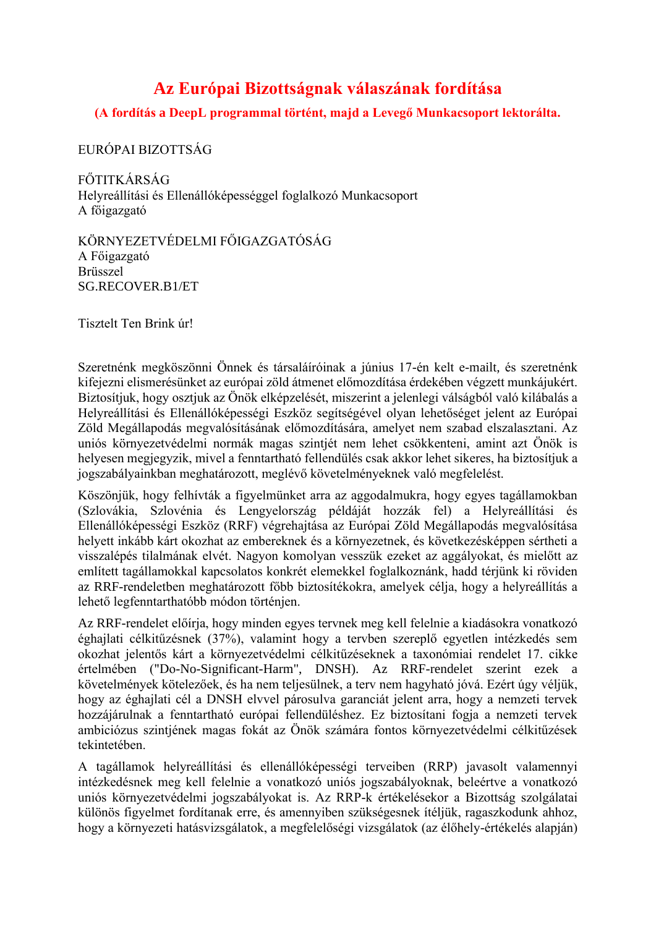# **Az Európai Bizottságnak válaszának fordítása**

**(A fordítás a DeepL programmal történt, majd a Levegő Munkacsoport lektorálta.**

EURÓPAI BIZOTTSÁG

FŐTITKÁRSÁG Helyreállítási és Ellenállóképességgel foglalkozó Munkacsoport A főigazgató

KÖRNYEZETVÉDELMI FŐIGAZGATÓSÁG A Főigazgató Brüsszel SG.RECOVER.B1/ET

Tisztelt Ten Brink úr!

Szeretnénk megköszönni Önnek és társaláíróinak a június 17-én kelt e-mailt, és szeretnénk kifejezni elismerésünket az európai zöld átmenet előmozdítása érdekében végzett munkájukért. Biztosítjuk, hogy osztjuk az Önök elképzelését, miszerint a jelenlegi válságból való kilábalás a Helyreállítási és Ellenállóképességi Eszköz segítségével olyan lehetőséget jelent az Európai Zöld Megállapodás megvalósításának előmozdítására, amelyet nem szabad elszalasztani. Az uniós környezetvédelmi normák magas szintjét nem lehet csökkenteni, amint azt Önök is helyesen megjegyzik, mivel a fenntartható fellendülés csak akkor lehet sikeres, ha biztosítjuk a jogszabályainkban meghatározott, meglévő követelményeknek való megfelelést.

Köszönjük, hogy felhívták a figyelmünket arra az aggodalmukra, hogy egyes tagállamokban (Szlovákia, Szlovénia és Lengyelország példáját hozzák fel) a Helyreállítási és Ellenállóképességi Eszköz (RRF) végrehajtása az Európai Zöld Megállapodás megvalósítása helyett inkább kárt okozhat az embereknek és a környezetnek, és következésképpen sértheti a visszalépés tilalmának elvét. Nagyon komolyan vesszük ezeket az aggályokat, és mielőtt az említett tagállamokkal kapcsolatos konkrét elemekkel foglalkoznánk, hadd térjünk ki röviden az RRF-rendeletben meghatározott főbb biztosítékokra, amelyek célja, hogy a helyreállítás a lehető legfenntarthatóbb módon történjen.

Az RRF-rendelet előírja, hogy minden egyes tervnek meg kell felelnie a kiadásokra vonatkozó éghajlati célkitűzésnek (37%), valamint hogy a tervben szereplő egyetlen intézkedés sem okozhat jelentős kárt a környezetvédelmi célkitűzéseknek a taxonómiai rendelet 17. cikke értelmében ("Do-No-Significant-Harm", DNSH). Az RRF-rendelet szerint ezek a követelmények kötelezőek, és ha nem teljesülnek, a terv nem hagyható jóvá. Ezért úgy véljük, hogy az éghajlati cél a DNSH elvvel párosulva garanciát jelent arra, hogy a nemzeti tervek hozzájárulnak a fenntartható európai fellendüléshez. Ez biztosítani fogja a nemzeti tervek ambiciózus szintjének magas fokát az Önök számára fontos környezetvédelmi célkitűzések tekintetében.

A tagállamok helyreállítási és ellenállóképességi terveiben (RRP) javasolt valamennyi intézkedésnek meg kell felelnie a vonatkozó uniós jogszabályoknak, beleértve a vonatkozó uniós környezetvédelmi jogszabályokat is. Az RRP-k értékelésekor a Bizottság szolgálatai különös figyelmet fordítanak erre, és amennyiben szükségesnek ítéljük, ragaszkodunk ahhoz, hogy a környezeti hatásvizsgálatok, a megfelelőségi vizsgálatok (az élőhely-értékelés alapján)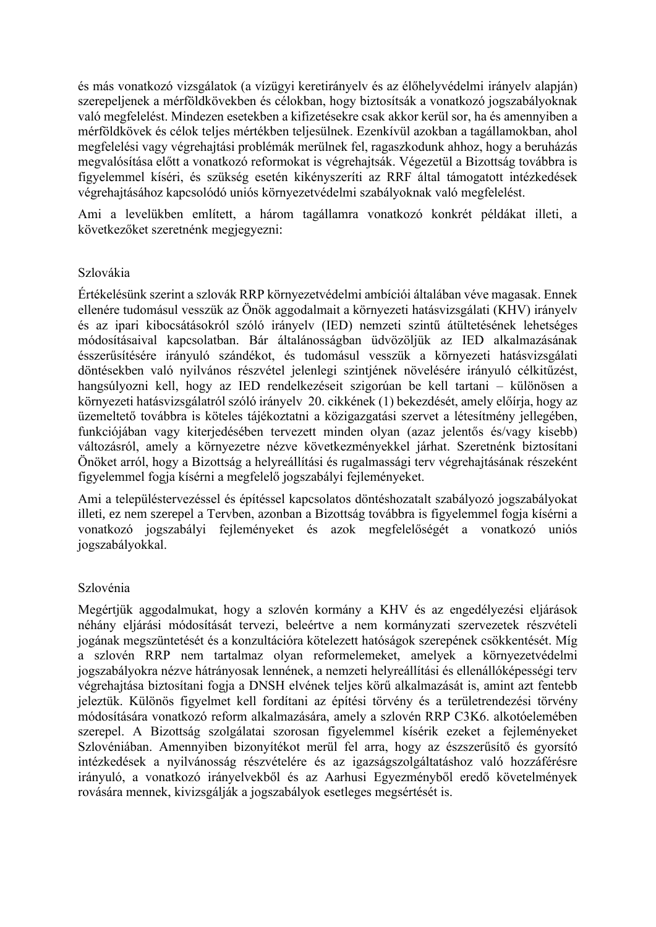és más vonatkozó vizsgálatok (a vízügyi keretirányelv és az élőhelyvédelmi irányelv alapján) szerepeljenek a mérföldkövekben és célokban, hogy biztosítsák a vonatkozó jogszabályoknak való megfelelést. Mindezen esetekben a kifizetésekre csak akkor kerül sor, ha és amennyiben a mérföldkövek és célok teljes mértékben teljesülnek. Ezenkívül azokban a tagállamokban, ahol megfelelési vagy végrehajtási problémák merülnek fel, ragaszkodunk ahhoz, hogy a beruházás megvalósítása előtt a vonatkozó reformokat is végrehajtsák. Végezetül a Bizottság továbbra is figyelemmel kíséri, és szükség esetén kikényszeríti az RRF által támogatott intézkedések végrehajtásához kapcsolódó uniós környezetvédelmi szabályoknak való megfelelést.

Ami a levelükben említett, a három tagállamra vonatkozó konkrét példákat illeti, a következőket szeretnénk megjegyezni:

## Szlovákia

Értékelésünk szerint a szlovák RRP környezetvédelmi ambíciói általában véve magasak. Ennek ellenére tudomásul vesszük az Önök aggodalmait a környezeti hatásvizsgálati (KHV) irányelv és az ipari kibocsátásokról szóló irányelv (IED) nemzeti szintű átültetésének lehetséges módosításaival kapcsolatban. Bár általánosságban üdvözöljük az IED alkalmazásának ésszerűsítésére irányuló szándékot, és tudomásul vesszük a környezeti hatásvizsgálati döntésekben való nyilvános részvétel jelenlegi szintjének növelésére irányuló célkitűzést, hangsúlyozni kell, hogy az IED rendelkezéseit szigorúan be kell tartani – különösen a környezeti hatásvizsgálatról szóló irányelv 20. cikkének (1) bekezdését, amely előírja, hogy az üzemeltető továbbra is köteles tájékoztatni a közigazgatási szervet a létesítmény jellegében, funkciójában vagy kiterjedésében tervezett minden olyan (azaz jelentős és/vagy kisebb) változásról, amely a környezetre nézve következményekkel járhat. Szeretnénk biztosítani Önöket arról, hogy a Bizottság a helyreállítási és rugalmassági terv végrehajtásának részeként figyelemmel fogja kísérni a megfelelő jogszabályi fejleményeket.

Ami a településtervezéssel és építéssel kapcsolatos döntéshozatalt szabályozó jogszabályokat illeti, ez nem szerepel a Tervben, azonban a Bizottság továbbra is figyelemmel fogja kísérni a vonatkozó jogszabályi fejleményeket és azok megfelelőségét a vonatkozó uniós jogszabályokkal.

## Szlovénia

Megértjük aggodalmukat, hogy a szlovén kormány a KHV és az engedélyezési eljárások néhány eljárási módosítását tervezi, beleértve a nem kormányzati szervezetek részvételi jogának megszüntetését és a konzultációra kötelezett hatóságok szerepének csökkentését. Míg a szlovén RRP nem tartalmaz olyan reformelemeket, amelyek a környezetvédelmi jogszabályokra nézve hátrányosak lennének, a nemzeti helyreállítási és ellenállóképességi terv végrehajtása biztosítani fogja a DNSH elvének teljes körű alkalmazását is, amint azt fentebb jeleztük. Különös figyelmet kell fordítani az építési törvény és a területrendezési törvény módosítására vonatkozó reform alkalmazására, amely a szlovén RRP C3K6. alkotóelemében szerepel. A Bizottság szolgálatai szorosan figyelemmel kísérik ezeket a fejleményeket Szlovéniában. Amennyiben bizonyítékot merül fel arra, hogy az észszerűsítő és gyorsító intézkedések a nyilvánosság részvételére és az igazságszolgáltatáshoz való hozzáférésre irányuló, a vonatkozó irányelvekből és az Aarhusi Egyezményből eredő követelmények rovására mennek, kivizsgálják a jogszabályok esetleges megsértését is.